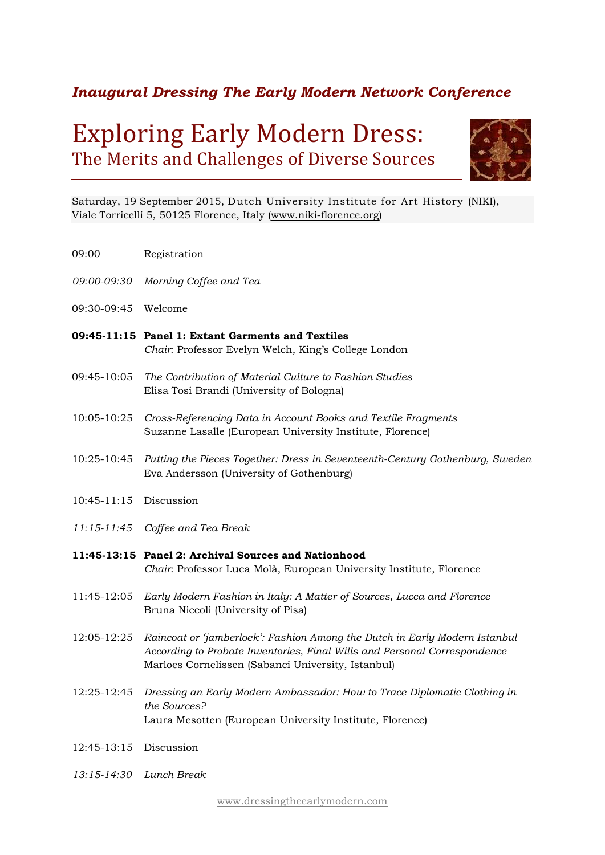## *Inaugural Dressing The Early Modern Network Conference*

## Exploring Early Modern Dress: The Merits and Challenges of Diverse Sources



Saturday, 19 September 2015, Dutch University Institute for Art History (NIKI), Viale Torricelli 5, 50125 Florence, Italy [\(www.niki-florence.org\)](http://www.niki-florence.org/)

| 09:00                  | Registration                                                                                                                                                                                                  |
|------------------------|---------------------------------------------------------------------------------------------------------------------------------------------------------------------------------------------------------------|
| 09:00-09:30            | Morning Coffee and Tea                                                                                                                                                                                        |
| 09:30-09:45            | Welcome                                                                                                                                                                                                       |
|                        | 09:45-11:15 Panel 1: Extant Garments and Textiles<br>Chair: Professor Evelyn Welch, King's College London                                                                                                     |
| 09:45-10:05            | The Contribution of Material Culture to Fashion Studies<br>Elisa Tosi Brandi (University of Bologna)                                                                                                          |
| 10:05-10:25            | Cross-Referencing Data in Account Books and Textile Fragments<br>Suzanne Lasalle (European University Institute, Florence)                                                                                    |
| 10:25-10:45            | Putting the Pieces Together: Dress in Seventeenth-Century Gothenburg, Sweden<br>Eva Andersson (University of Gothenburg)                                                                                      |
| 10:45-11:15 Discussion |                                                                                                                                                                                                               |
|                        | 11:15-11:45 Coffee and Tea Break                                                                                                                                                                              |
|                        | 11:45-13:15 Panel 2: Archival Sources and Nationhood<br>Chair: Professor Luca Molà, European University Institute, Florence                                                                                   |
| 11:45-12:05            | Early Modern Fashion in Italy: A Matter of Sources, Lucca and Florence<br>Bruna Niccoli (University of Pisa)                                                                                                  |
| 12:05-12:25            | Raincoat or 'jamberloek': Fashion Among the Dutch in Early Modern Istanbul<br>According to Probate Inventories, Final Wills and Personal Correspondence<br>Marloes Cornelissen (Sabanci University, Istanbul) |
| 12:25-12:45            | Dressing an Early Modern Ambassador: How to Trace Diplomatic Clothing in<br>the Sources?<br>Laura Mesotten (European University Institute, Florence)                                                          |
| 12:45-13:15 Discussion |                                                                                                                                                                                                               |
|                        |                                                                                                                                                                                                               |

*13:15-14:30 Lunch Break*

[www.dressingtheearlymodern.com](http://www.dressingtheearlymodern.com/)